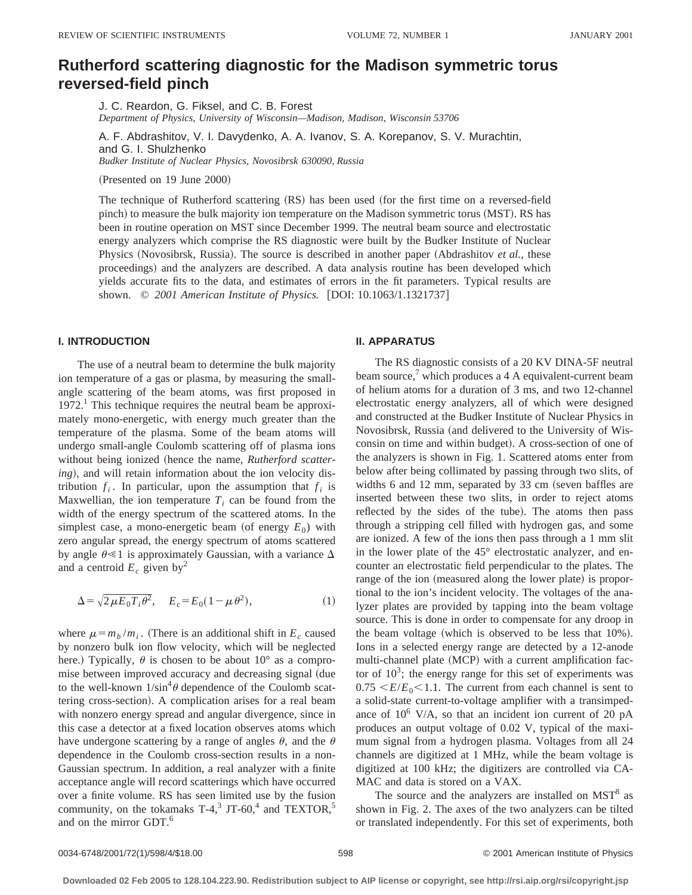# **Rutherford scattering diagnostic for the Madison symmetric torus reversed-field pinch**

J. C. Reardon, G. Fiksel, and C. B. Forest *Department of Physics, University of Wisconsin—Madison, Madison, Wisconsin 53706*

A. F. Abdrashitov, V. I. Davydenko, A. A. Ivanov, S. A. Korepanov, S. V. Murachtin, and G. I. Shulzhenko *Budker Institute of Nuclear Physics, Novosibrsk 630090, Russia*

 $(Presented on 19 June 2000)$ 

The technique of Rutherford scattering (RS) has been used (for the first time on a reversed-field pinch) to measure the bulk majority ion temperature on the Madison symmetric torus (MST). RS has been in routine operation on MST since December 1999. The neutral beam source and electrostatic energy analyzers which comprise the RS diagnostic were built by the Budker Institute of Nuclear Physics (Novosibrsk, Russia). The source is described in another paper (Abdrashitov *et al.*, these proceedings) and the analyzers are described. A data analysis routine has been developed which yields accurate fits to the data, and estimates of errors in the fit parameters. Typical results are shown. © 2001 American Institute of Physics. [DOI: 10.1063/1.1321737]

## **I. INTRODUCTION**

The use of a neutral beam to determine the bulk majority ion temperature of a gas or plasma, by measuring the smallangle scattering of the beam atoms, was first proposed in  $1972<sup>1</sup>$  This technique requires the neutral beam be approximately mono-energetic, with energy much greater than the temperature of the plasma. Some of the beam atoms will undergo small-angle Coulomb scattering off of plasma ions without being ionized (hence the name, *Rutherford scattering*), and will retain information about the ion velocity distribution  $f_i$ . In particular, upon the assumption that  $f_i$  is Maxwellian, the ion temperature  $T_i$  can be found from the width of the energy spectrum of the scattered atoms. In the simplest case, a mono-energetic beam (of energy  $E_0$ ) with zero angular spread, the energy spectrum of atoms scattered by angle  $\theta \leq 1$  is approximately Gaussian, with a variance  $\Delta$ and a centroid  $E_c$  given by<sup>2</sup>

$$
\Delta = \sqrt{2\mu E_0 T_i \theta^2}, \quad E_c = E_0 (1 - \mu \theta^2), \tag{1}
$$

where  $\mu = m_b / m_i$ . (There is an additional shift in  $E_c$  caused by nonzero bulk ion flow velocity, which will be neglected here.) Typically,  $\theta$  is chosen to be about 10° as a compromise between improved accuracy and decreasing signal (due to the well-known  $1/\sin^4\theta$  dependence of the Coulomb scattering cross-section). A complication arises for a real beam with nonzero energy spread and angular divergence, since in this case a detector at a fixed location observes atoms which have undergone scattering by a range of angles  $\theta$ , and the  $\theta$ dependence in the Coulomb cross-section results in a non-Gaussian spectrum. In addition, a real analyzer with a finite acceptance angle will record scatterings which have occurred over a finite volume. RS has seen limited use by the fusion community, on the tokamaks  $T-4$ ,  $JT-60$ , and  $TEXTOR$ , and on the mirror GDT.6

#### **II. APPARATUS**

The RS diagnostic consists of a 20 KV DINA-5F neutral beam source, $\alpha$  which produces a 4 A equivalent-current beam of helium atoms for a duration of 3 ms, and two 12-channel electrostatic energy analyzers, all of which were designed and constructed at the Budker Institute of Nuclear Physics in Novosibrsk, Russia (and delivered to the University of Wisconsin on time and within budget). A cross-section of one of the analyzers is shown in Fig. 1. Scattered atoms enter from below after being collimated by passing through two slits, of widths 6 and 12 mm, separated by 33 cm (seven baffles are inserted between these two slits, in order to reject atoms reflected by the sides of the tube). The atoms then pass through a stripping cell filled with hydrogen gas, and some are ionized. A few of the ions then pass through a 1 mm slit in the lower plate of the 45° electrostatic analyzer, and encounter an electrostatic field perpendicular to the plates. The range of the ion (measured along the lower plate) is proportional to the ion's incident velocity. The voltages of the analyzer plates are provided by tapping into the beam voltage source. This is done in order to compensate for any droop in the beam voltage (which is observed to be less that  $10\%$ ). Ions in a selected energy range are detected by a 12-anode multi-channel plate (MCP) with a current amplification factor of  $10<sup>3</sup>$ ; the energy range for this set of experiments was  $0.75 \leq E/E_0 \leq 1.1$ . The current from each channel is sent to a solid-state current-to-voltage amplifier with a transimpedance of  $10^6$  V/A, so that an incident ion current of 20 pA produces an output voltage of 0.02 V, typical of the maximum signal from a hydrogen plasma. Voltages from all 24 channels are digitized at 1 MHz, while the beam voltage is digitized at 100 kHz; the digitizers are controlled via CA-MAC and data is stored on a VAX.

The source and the analyzers are installed on  $MST<sup>8</sup>$  as shown in Fig. 2. The axes of the two analyzers can be tilted or translated independently. For this set of experiments, both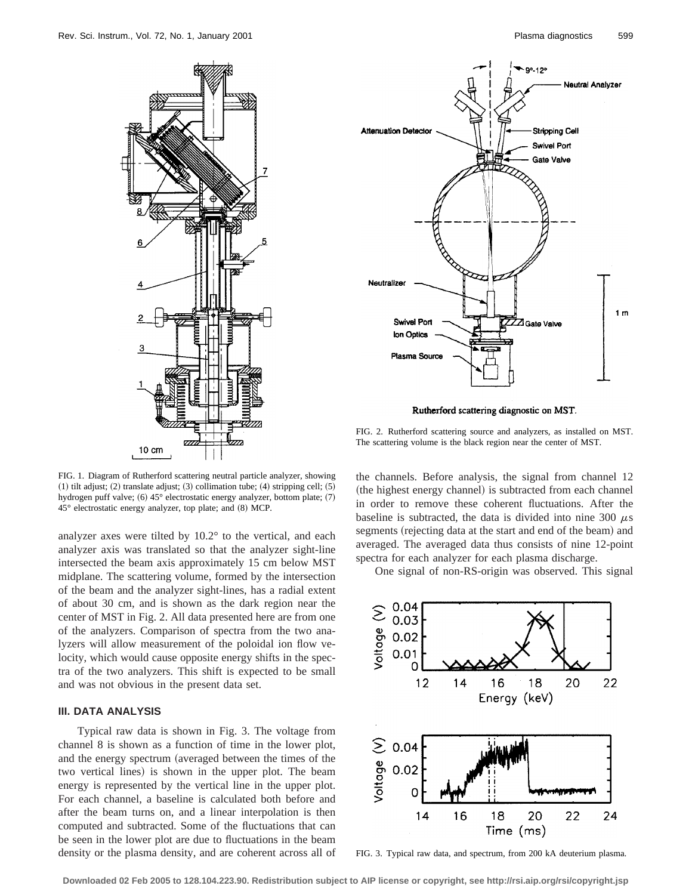

FIG. 1. Diagram of Rutherford scattering neutral particle analyzer, showing  $(1)$  tilt adjust;  $(2)$  translate adjust;  $(3)$  collimation tube;  $(4)$  stripping cell;  $(5)$ hydrogen puff valve; (6) 45° electrostatic energy analyzer, bottom plate; (7)  $45^\circ$  electrostatic energy analyzer, top plate; and  $(8)$  MCP.

analyzer axes were tilted by 10.2° to the vertical, and each analyzer axis was translated so that the analyzer sight-line intersected the beam axis approximately 15 cm below MST midplane. The scattering volume, formed by the intersection of the beam and the analyzer sight-lines, has a radial extent of about 30 cm, and is shown as the dark region near the center of MST in Fig. 2. All data presented here are from one of the analyzers. Comparison of spectra from the two analyzers will allow measurement of the poloidal ion flow velocity, which would cause opposite energy shifts in the spectra of the two analyzers. This shift is expected to be small and was not obvious in the present data set.

## **III. DATA ANALYSIS**

Typical raw data is shown in Fig. 3. The voltage from channel 8 is shown as a function of time in the lower plot, and the energy spectrum (averaged between the times of the two vertical lines) is shown in the upper plot. The beam energy is represented by the vertical line in the upper plot. For each channel, a baseline is calculated both before and after the beam turns on, and a linear interpolation is then computed and subtracted. Some of the fluctuations that can be seen in the lower plot are due to fluctuations in the beam density or the plasma density, and are coherent across all of



Rutherford scattering diagnostic on MST.

FIG. 2. Rutherford scattering source and analyzers, as installed on MST. The scattering volume is the black region near the center of MST.

the channels. Before analysis, the signal from channel 12 (the highest energy channel) is subtracted from each channel in order to remove these coherent fluctuations. After the baseline is subtracted, the data is divided into nine 300  $\mu$ s segments (rejecting data at the start and end of the beam) and averaged. The averaged data thus consists of nine 12-point spectra for each analyzer for each plasma discharge.

One signal of non-RS-origin was observed. This signal



FIG. 3. Typical raw data, and spectrum, from 200 kA deuterium plasma.

**Downloaded 02 Feb 2005 to 128.104.223.90. Redistribution subject to AIP license or copyright, see http://rsi.aip.org/rsi/copyright.jsp**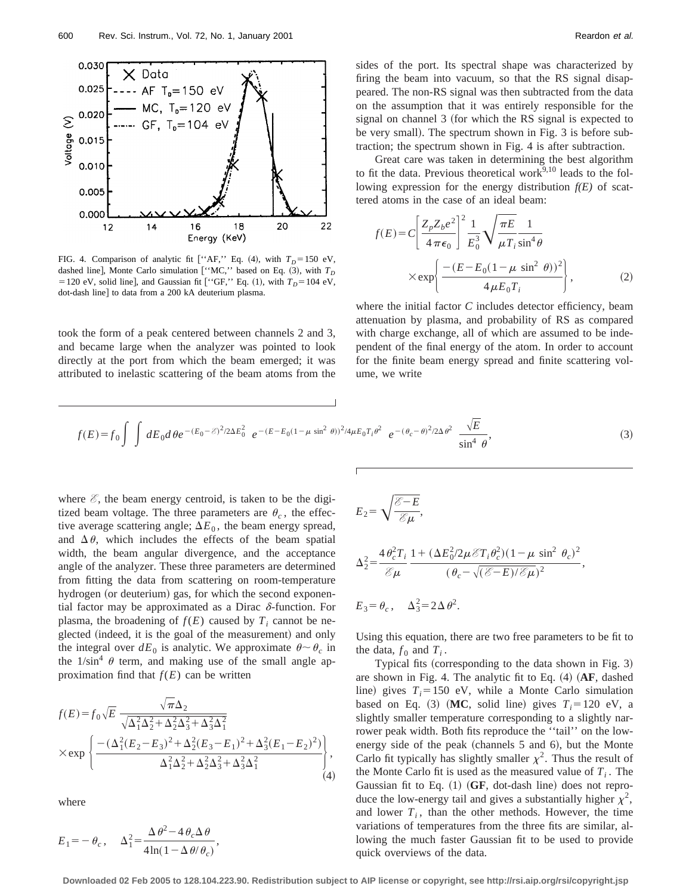

FIG. 4. Comparison of analytic fit ["AF," Eq. (4), with  $T_D = 150$  eV, dashed line], Monte Carlo simulation ["MC," based on Eq.  $(3)$ , with  $T_D$ = 120 eV, solid line], and Gaussian fit ["GF," Eq. (1), with  $T_D$ = 104 eV, dot-dash line] to data from a 200 kA deuterium plasma.

took the form of a peak centered between channels 2 and 3, and became large when the analyzer was pointed to look directly at the port from which the beam emerged; it was attributed to inelastic scattering of the beam atoms from the sides of the port. Its spectral shape was characterized by firing the beam into vacuum, so that the RS signal disappeared. The non-RS signal was then subtracted from the data on the assumption that it was entirely responsible for the signal on channel 3 (for which the RS signal is expected to be very small). The spectrum shown in Fig. 3 is before subtraction; the spectrum shown in Fig. 4 is after subtraction.

Great care was taken in determining the best algorithm to fit the data. Previous theoretical work $^{9,10}$  leads to the following expression for the energy distribution  $f(E)$  of scattered atoms in the case of an ideal beam:

$$
f(E) = C \left[ \frac{Z_p Z_b e^2}{4 \pi \epsilon_0} \right]^2 \frac{1}{E_0^3} \sqrt{\frac{\pi E}{\mu T_i \sin^4 \theta}} \times \exp \left\{ \frac{-(E - E_0 (1 - \mu \sin^2 \theta))^2}{4 \mu E_0 T_i} \right\},
$$
 (2)

where the initial factor *C* includes detector efficiency, beam attenuation by plasma, and probability of RS as compared with charge exchange, all of which are assumed to be independent of the final energy of the atom. In order to account for the finite beam energy spread and finite scattering volume, we write

$$
f(E) = f_0 \int \int dE_0 d\theta e^{-(E_0 - \mathcal{E})^2/2\Delta E_0^2} e^{-(E - E_0(1 - \mu \sin^2 \theta))^2/4\mu E_0 T_i \theta^2} e^{-(\theta_c - \theta)^2/2\Delta \theta^2} \frac{\sqrt{E}}{\sin^4 \theta},
$$
\n(3)

where  $\mathscr{E}$ , the beam energy centroid, is taken to be the digitized beam voltage. The three parameters are  $\theta_c$ , the effective average scattering angle;  $\Delta E_0$ , the beam energy spread, and  $\Delta \theta$ , which includes the effects of the beam spatial width, the beam angular divergence, and the acceptance angle of the analyzer. These three parameters are determined from fitting the data from scattering on room-temperature hydrogen (or deuterium) gas, for which the second exponential factor may be approximated as a Dirac  $\delta$ -function. For plasma, the broadening of  $f(E)$  caused by  $T_i$  cannot be neglected (indeed, it is the goal of the measurement) and only the integral over  $dE_0$  is analytic. We approximate  $\theta \sim \theta_c$  in the  $1/\sin^4 \theta$  term, and making use of the small angle approximation find that  $f(E)$  can be written

$$
f(E) = f_0 \sqrt{E} \frac{\sqrt{\pi} \Delta_2}{\sqrt{\Delta_1^2 \Delta_2^2 + \Delta_2^2 \Delta_3^2 + \Delta_3^2 \Delta_1^2}} \times \exp \left\{ \frac{-\left(\Delta_1^2 (E_2 - E_3)^2 + \Delta_2^2 (E_3 - E_1)^2 + \Delta_3^2 (E_1 - E_2)^2\right)}{\Delta_1^2 \Delta_2^2 + \Delta_2^2 \Delta_3^2 + \Delta_3^2 \Delta_1^2} \right\},\tag{4}
$$

where

$$
E_1 = -\theta_c, \quad \Delta_1^2 = \frac{\Delta \theta^2 - 4\theta_c \Delta \theta}{4\ln(1 - \Delta \theta/\theta_c)},
$$

$$
E_2 = \sqrt{\frac{\mathcal{E} - E}{\mathcal{E}\mu}},
$$
\n
$$
A \theta^2 T \quad 1 + (A E^2 / 2 \pi \mathcal{E})
$$

$$
\Delta_2^2 = \frac{4 \theta_c^2 T_i}{\mathcal{E} \mu} \frac{1 + (\Delta E_0^2 / 2 \mu \mathcal{E} T_i \theta_c^2)(1 - \mu \sin^2 \theta_c)^2}{(\theta_c - \sqrt{(\mathcal{E} - E)/\mathcal{E} \mu})^2},
$$

$$
E_3 = \theta_c, \quad \Delta_3^2 = 2\Delta\theta^2.
$$

Using this equation, there are two free parameters to be fit to the data,  $f_0$  and  $T_i$ .

Typical fits (corresponding to the data shown in Fig. 3) are shown in Fig. 4. The analytic fit to Eq.  $(4)$   $(AF, dashed)$ line) gives  $T_i = 150$  eV, while a Monte Carlo simulation based on Eq. (3) (MC, solid line) gives  $T_i = 120$  eV, a slightly smaller temperature corresponding to a slightly narrower peak width. Both fits reproduce the ''tail'' on the lowenergy side of the peak (channels  $5$  and  $6$ ), but the Monte Carlo fit typically has slightly smaller  $\chi^2$ . Thus the result of the Monte Carlo fit is used as the measured value of  $T_i$ . The Gaussian fit to Eq.  $(1)$  (GF, dot-dash line) does not reproduce the low-energy tail and gives a substantially higher  $\chi^2$ , and lower  $T_i$ , than the other methods. However, the time variations of temperatures from the three fits are similar, allowing the much faster Gaussian fit to be used to provide quick overviews of the data.

**Downloaded 02 Feb 2005 to 128.104.223.90. Redistribution subject to AIP license or copyright, see http://rsi.aip.org/rsi/copyright.jsp**